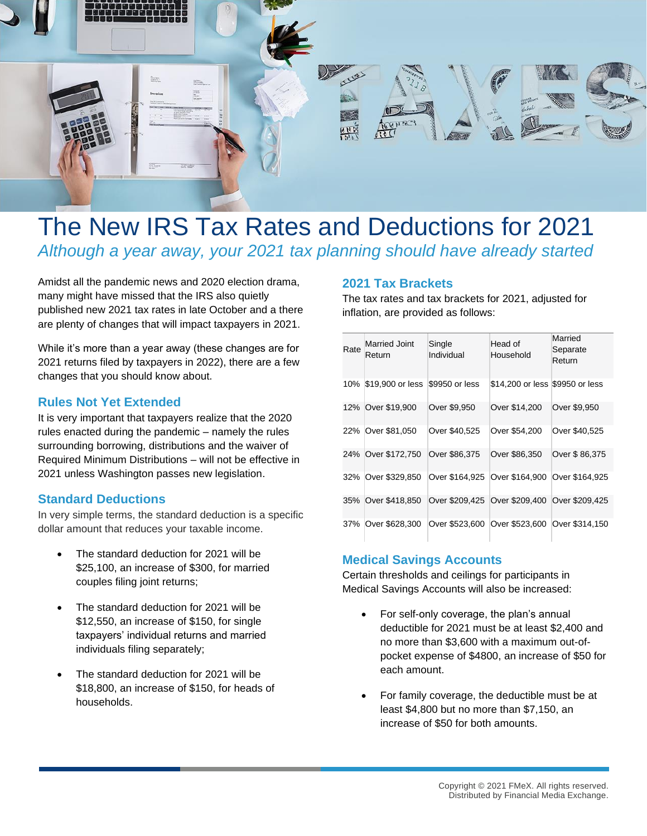

# The New IRS Tax Rates and Deductions for 2021 *Although a year away, your 2021 tax planning should have already started*

Amidst all the pandemic news and 2020 election drama, many might have missed that the IRS also quietly published new 2021 tax rates in late October and a there are plenty of changes that will impact taxpayers in 2021.

While it's more than a year away (these changes are for 2021 returns filed by taxpayers in 2022), there are a few changes that you should know about.

#### **Rules Not Yet Extended**

It is very important that taxpayers realize that the 2020 rules enacted during the pandemic – namely the rules surrounding borrowing, distributions and the waiver of Required Minimum Distributions – will not be effective in 2021 unless Washington passes new legislation.

### **Standard Deductions**

In very simple terms, the standard deduction is a specific dollar amount that reduces your taxable income.

- The standard deduction for 2021 will be \$25,100, an increase of \$300, for married couples filing joint returns;
- The standard deduction for 2021 will be \$12,550, an increase of \$150, for single taxpayers' individual returns and married individuals filing separately;
- The standard deduction for 2021 will be \$18,800, an increase of \$150, for heads of households.

#### **2021 Tax Brackets**

The tax rates and tax brackets for 2021, adjusted for inflation, are provided as follows:

| Rate | <b>Married Joint</b><br>Return | Single<br>Individual | Head of<br>Household            | Married<br>Separate<br>Return |
|------|--------------------------------|----------------------|---------------------------------|-------------------------------|
| 10%  | \$19,900 or less               | \$9950 or less       | \$14,200 or less \$9950 or less |                               |
| 12%  | Over \$19,900                  | Over \$9,950         | Over \$14,200                   | Over \$9,950                  |
| 22%  | Over \$81,050                  | Over \$40,525        | Over \$54,200                   | Over \$40,525                 |
| 24%  | Over \$172,750                 | Over \$86,375        | Over \$86,350                   | Over \$86,375                 |
| 32%  | Over \$329,850                 | Over \$164.925       | Over \$164,900                  | Over \$164.925                |
| 35%  | Over \$418,850                 | Over \$209,425       | Over \$209,400                  | Over \$209,425                |
| 37%  | Over \$628,300                 | Over \$523.600       | Over \$523,600                  | Over \$314.150                |

#### **Medical Savings Accounts**

Certain thresholds and ceilings for participants in Medical Savings Accounts will also be increased:

- For self-only coverage, the plan's annual deductible for 2021 must be at least \$2,400 and no more than \$3,600 with a maximum out-ofpocket expense of \$4800, an increase of \$50 for each amount.
- For family coverage, the deductible must be at least \$4,800 but no more than \$7,150, an increase of \$50 for both amounts.